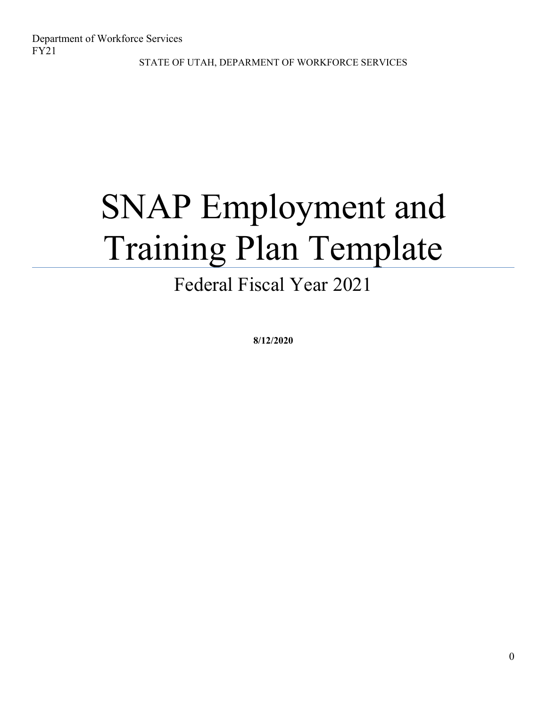# SNAP Employment and Training Plan Template

## Federal Fiscal Year 2021

**8/12/2020**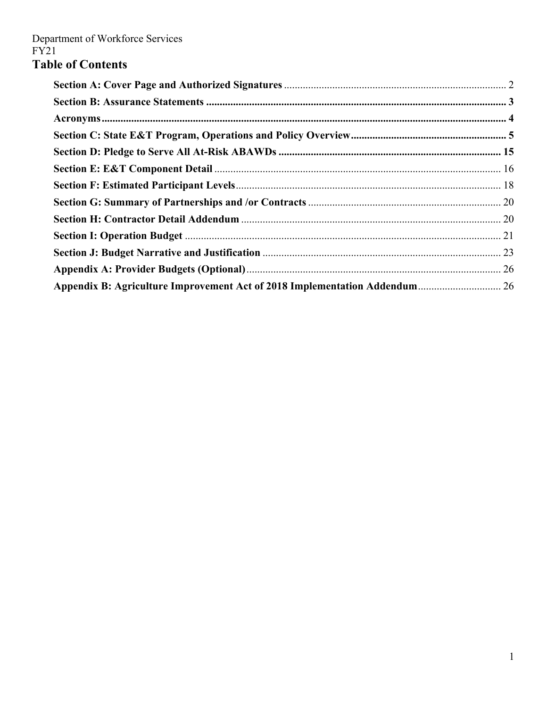## **Table of Contents**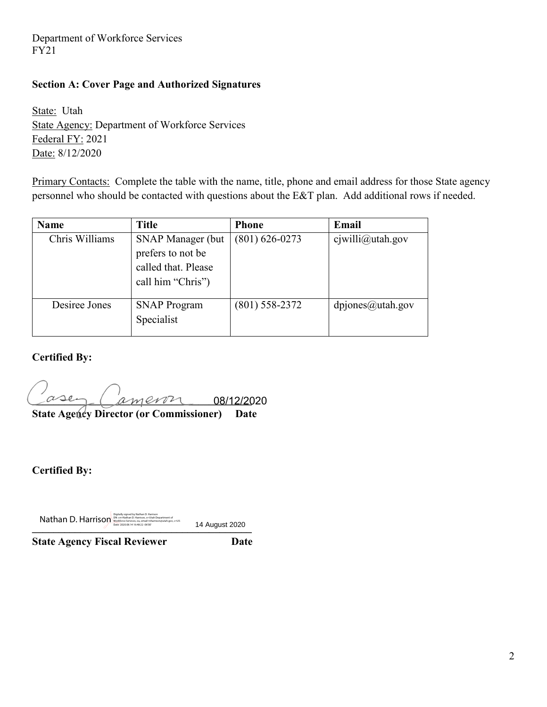#### **Section A: Cover Page and Authorized Signatures**

State: Utah State Agency: Department of Workforce Services Federal FY: 2021 Date: 8/12/2020

Primary Contacts: Complete the table with the name, title, phone and email address for those State agency personnel who should be contacted with questions about the E&T plan. Add additional rows if needed.

| <b>Name</b>    | <b>Title</b>                                                                              | <b>Phone</b>       | Email               |
|----------------|-------------------------------------------------------------------------------------------|--------------------|---------------------|
| Chris Williams | <b>SNAP Manager (but</b><br>prefers to not be<br>called that. Please<br>call him "Chris") | $(801) 626 - 0273$ | $c$ jwilli@utah.gov |
| Desiree Jones  | <b>SNAP Program</b><br>Specialist                                                         | (801) 558-2372     | $d$ pjones@utah.gov |

**Certified By:**

**\_\_\_\_\_\_\_\_\_\_\_\_\_\_\_\_\_\_\_\_\_\_\_\_\_\_\_\_\_\_\_\_\_\_\_\_\_\_\_\_\_**  08/12/2020

**State Agency Director (or Commissioner)** Date

**Certified By:**

**Nathan D. Harrison**, <sup>Del</sup> con-Nathan D. Harrison, o Utah Department of<br>
Workforce Services, ou, email=nharrison, outah Department of Utah.gov, c=US 14 August 2020

14 August 2020

**State Agency Fiscal Reviewer Date**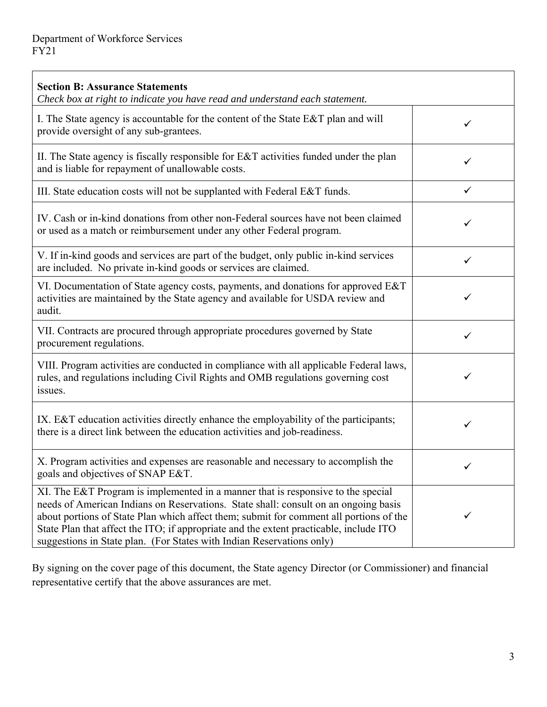| <b>Section B: Assurance Statements</b><br>Check box at right to indicate you have read and understand each statement.                                                                                                                                                                                                                                                                                                                |   |
|--------------------------------------------------------------------------------------------------------------------------------------------------------------------------------------------------------------------------------------------------------------------------------------------------------------------------------------------------------------------------------------------------------------------------------------|---|
| I. The State agency is accountable for the content of the State E&T plan and will<br>provide oversight of any sub-grantees.                                                                                                                                                                                                                                                                                                          | ✓ |
| II. The State agency is fiscally responsible for E&T activities funded under the plan<br>and is liable for repayment of unallowable costs.                                                                                                                                                                                                                                                                                           | ✓ |
| III. State education costs will not be supplanted with Federal E&T funds.                                                                                                                                                                                                                                                                                                                                                            | ✓ |
| IV. Cash or in-kind donations from other non-Federal sources have not been claimed<br>or used as a match or reimbursement under any other Federal program.                                                                                                                                                                                                                                                                           | ✓ |
| V. If in-kind goods and services are part of the budget, only public in-kind services<br>are included. No private in-kind goods or services are claimed.                                                                                                                                                                                                                                                                             | ✓ |
| VI. Documentation of State agency costs, payments, and donations for approved E&T<br>activities are maintained by the State agency and available for USDA review and<br>audit.                                                                                                                                                                                                                                                       | ✓ |
| VII. Contracts are procured through appropriate procedures governed by State<br>procurement regulations.                                                                                                                                                                                                                                                                                                                             | ✓ |
| VIII. Program activities are conducted in compliance with all applicable Federal laws,<br>rules, and regulations including Civil Rights and OMB regulations governing cost<br>issues.                                                                                                                                                                                                                                                | ✓ |
| IX. E&T education activities directly enhance the employability of the participants;<br>there is a direct link between the education activities and job-readiness.                                                                                                                                                                                                                                                                   | ✓ |
| X. Program activities and expenses are reasonable and necessary to accomplish the<br>goals and objectives of SNAP E&T.                                                                                                                                                                                                                                                                                                               | ✓ |
| XI. The E&T Program is implemented in a manner that is responsive to the special<br>needs of American Indians on Reservations. State shall: consult on an ongoing basis<br>about portions of State Plan which affect them; submit for comment all portions of the<br>State Plan that affect the ITO; if appropriate and the extent practicable, include ITO<br>suggestions in State plan. (For States with Indian Reservations only) |   |

By signing on the cover page of this document, the State agency Director (or Commissioner) and financial representative certify that the above assurances are met.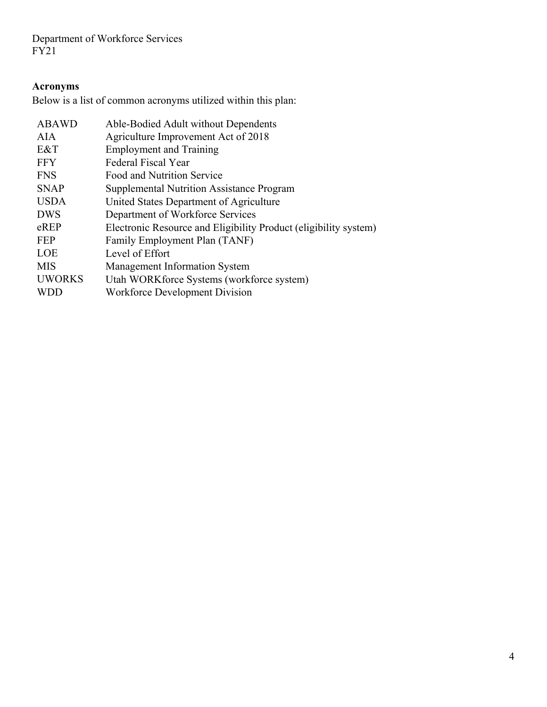## **Acronyms**

Below is a list of common acronyms utilized within this plan:

| Able-Bodied Adult without Dependents                             |
|------------------------------------------------------------------|
| Agriculture Improvement Act of 2018                              |
| <b>Employment and Training</b>                                   |
| Federal Fiscal Year                                              |
| Food and Nutrition Service                                       |
| <b>Supplemental Nutrition Assistance Program</b>                 |
| United States Department of Agriculture                          |
| Department of Workforce Services                                 |
| Electronic Resource and Eligibility Product (eligibility system) |
| Family Employment Plan (TANF)                                    |
| Level of Effort                                                  |
| <b>Management Information System</b>                             |
| Utah WORK force Systems (workforce system)                       |
| Workforce Development Division                                   |
|                                                                  |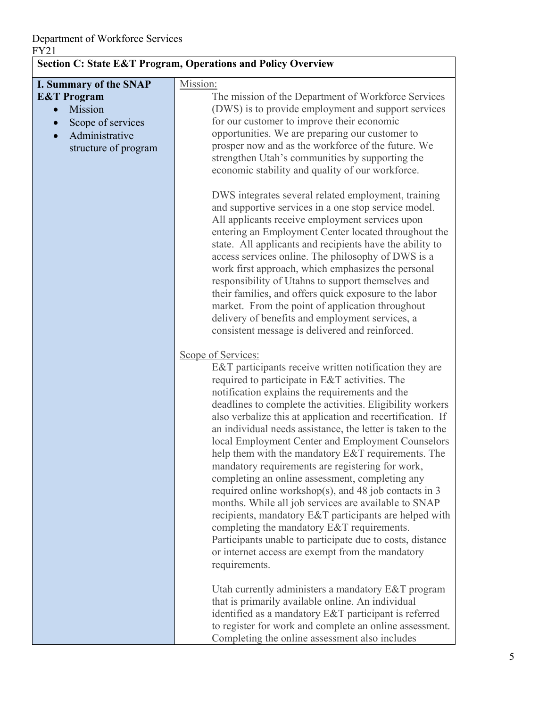| <b>Section C: State E&amp;T Program, Operations and Policy Overview</b>                                                    |                                                                                                                                                                                                                                                                                                                                                                                                                                                                                                                                                                                                                                                                                                                                                                                                                                                                                                                                                                                                                                                                                                                                                                                                                                                                                                                                                                                                                                                                                                                                                                                                                                                                                                                                                                                                                                                                                                                                                       |  |
|----------------------------------------------------------------------------------------------------------------------------|-------------------------------------------------------------------------------------------------------------------------------------------------------------------------------------------------------------------------------------------------------------------------------------------------------------------------------------------------------------------------------------------------------------------------------------------------------------------------------------------------------------------------------------------------------------------------------------------------------------------------------------------------------------------------------------------------------------------------------------------------------------------------------------------------------------------------------------------------------------------------------------------------------------------------------------------------------------------------------------------------------------------------------------------------------------------------------------------------------------------------------------------------------------------------------------------------------------------------------------------------------------------------------------------------------------------------------------------------------------------------------------------------------------------------------------------------------------------------------------------------------------------------------------------------------------------------------------------------------------------------------------------------------------------------------------------------------------------------------------------------------------------------------------------------------------------------------------------------------------------------------------------------------------------------------------------------------|--|
| I. Summary of the SNAP<br><b>E&amp;T</b> Program<br>Mission<br>Scope of services<br>Administrative<br>structure of program | Mission:<br>The mission of the Department of Workforce Services<br>(DWS) is to provide employment and support services<br>for our customer to improve their economic<br>opportunities. We are preparing our customer to<br>prosper now and as the workforce of the future. We<br>strengthen Utah's communities by supporting the<br>economic stability and quality of our workforce.<br>DWS integrates several related employment, training<br>and supportive services in a one stop service model.<br>All applicants receive employment services upon<br>entering an Employment Center located throughout the<br>state. All applicants and recipients have the ability to<br>access services online. The philosophy of DWS is a<br>work first approach, which emphasizes the personal<br>responsibility of Utahns to support themselves and<br>their families, and offers quick exposure to the labor<br>market. From the point of application throughout<br>delivery of benefits and employment services, a<br>consistent message is delivered and reinforced.<br>Scope of Services:<br>E&T participants receive written notification they are<br>required to participate in E&T activities. The<br>notification explains the requirements and the<br>deadlines to complete the activities. Eligibility workers<br>also verbalize this at application and recertification. If<br>an individual needs assistance, the letter is taken to the<br>local Employment Center and Employment Counselors<br>help them with the mandatory E&T requirements. The<br>mandatory requirements are registering for work,<br>completing an online assessment, completing any<br>required online workshop(s), and 48 job contacts in 3<br>months. While all job services are available to SNAP<br>recipients, mandatory E&T participants are helped with<br>completing the mandatory E&T requirements.<br>Participants unable to participate due to costs, distance |  |
|                                                                                                                            | or internet access are exempt from the mandatory<br>requirements.                                                                                                                                                                                                                                                                                                                                                                                                                                                                                                                                                                                                                                                                                                                                                                                                                                                                                                                                                                                                                                                                                                                                                                                                                                                                                                                                                                                                                                                                                                                                                                                                                                                                                                                                                                                                                                                                                     |  |
|                                                                                                                            | Utah currently administers a mandatory E&T program<br>that is primarily available online. An individual<br>identified as a mandatory E&T participant is referred<br>to register for work and complete an online assessment.<br>Completing the online assessment also includes                                                                                                                                                                                                                                                                                                                                                                                                                                                                                                                                                                                                                                                                                                                                                                                                                                                                                                                                                                                                                                                                                                                                                                                                                                                                                                                                                                                                                                                                                                                                                                                                                                                                         |  |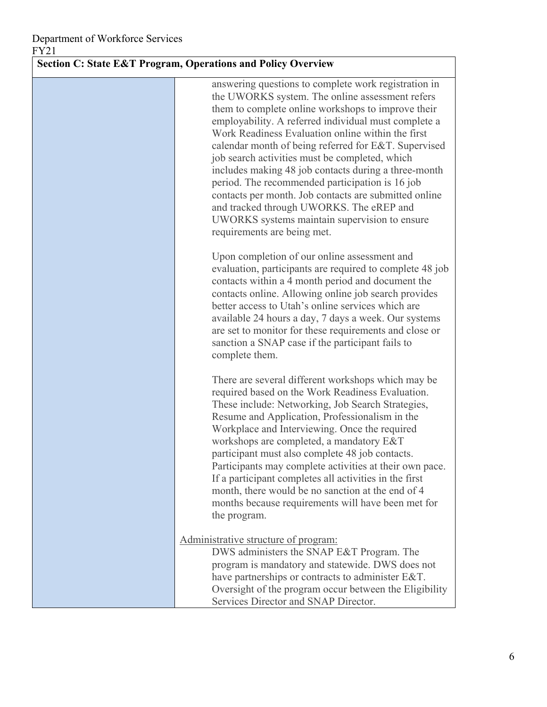#### **Section C: State E&T Program, Operations and Policy Overview**

answering questions to complete work registration in the UWORKS system. The online assessment refers them to complete online workshops to improve their employability. A referred individual must complete a Work Readiness Evaluation online within the first calendar month of being referred for E&T. Supervised job search activities must be completed, which includes making 48 job contacts during a three-month period. The recommended participation is 16 job contacts per month. Job contacts are submitted online and tracked through UWORKS. The eREP and UWORKS systems maintain supervision to ensure requirements are being met.

Upon completion of our online assessment and evaluation, participants are required to complete 48 job contacts within a 4 month period and document the contacts online. Allowing online job search provides better access to Utah's online services which are available 24 hours a day, 7 days a week. Our systems are set to monitor for these requirements and close or sanction a SNAP case if the participant fails to complete them.

There are several different workshops which may be required based on the Work Readiness Evaluation. These include: Networking, Job Search Strategies, Resume and Application, Professionalism in the Workplace and Interviewing. Once the required workshops are completed, a mandatory E&T participant must also complete 48 job contacts. Participants may complete activities at their own pace. If a participant completes all activities in the first month, there would be no sanction at the end of 4 months because requirements will have been met for the program.

#### Administrative structure of program:

DWS administers the SNAP E&T Program. The program is mandatory and statewide. DWS does not have partnerships or contracts to administer E&T. Oversight of the program occur between the Eligibility Services Director and SNAP Director.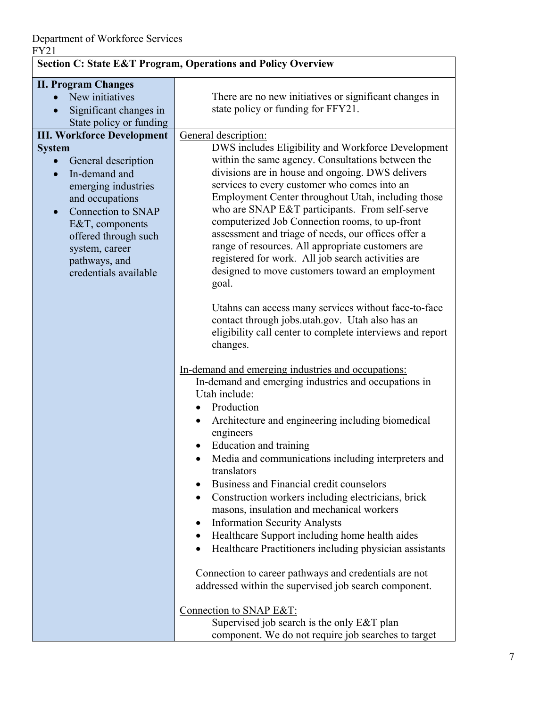| <b>Section C: State E&amp;T Program, Operations and Policy Overview</b>                                                                                                                                      |                                                                                                                                                                                                                                                                                                                                                                                                                                                                                   |  |
|--------------------------------------------------------------------------------------------------------------------------------------------------------------------------------------------------------------|-----------------------------------------------------------------------------------------------------------------------------------------------------------------------------------------------------------------------------------------------------------------------------------------------------------------------------------------------------------------------------------------------------------------------------------------------------------------------------------|--|
| <b>II. Program Changes</b>                                                                                                                                                                                   |                                                                                                                                                                                                                                                                                                                                                                                                                                                                                   |  |
| New initiatives<br>Significant changes in<br>$\bullet$                                                                                                                                                       | There are no new initiatives or significant changes in<br>state policy or funding for FFY21.                                                                                                                                                                                                                                                                                                                                                                                      |  |
| State policy or funding                                                                                                                                                                                      |                                                                                                                                                                                                                                                                                                                                                                                                                                                                                   |  |
| <b>III. Workforce Development</b>                                                                                                                                                                            | General description:                                                                                                                                                                                                                                                                                                                                                                                                                                                              |  |
| <b>System</b><br>General description<br>In-demand and<br>$\bullet$<br>emerging industries<br>and occupations<br>Connection to SNAP<br>$\bullet$<br>E&T, components<br>offered through such<br>system, career | DWS includes Eligibility and Workforce Development<br>within the same agency. Consultations between the<br>divisions are in house and ongoing. DWS delivers<br>services to every customer who comes into an<br>Employment Center throughout Utah, including those<br>who are SNAP E&T participants. From self-serve<br>computerized Job Connection rooms, to up-front<br>assessment and triage of needs, our offices offer a<br>range of resources. All appropriate customers are |  |
| pathways, and<br>credentials available                                                                                                                                                                       | registered for work. All job search activities are<br>designed to move customers toward an employment<br>goal.<br>Utahns can access many services without face-to-face<br>contact through jobs.utah.gov. Utah also has an<br>eligibility call center to complete interviews and report                                                                                                                                                                                            |  |
|                                                                                                                                                                                                              | changes.<br>In-demand and emerging industries and occupations:<br>In-demand and emerging industries and occupations in<br>Utah include:<br>• Production                                                                                                                                                                                                                                                                                                                           |  |
|                                                                                                                                                                                                              | Architecture and engineering including biomedical<br>$\bullet$<br>engineers<br>Education and training<br>Media and communications including interpreters and<br>translators                                                                                                                                                                                                                                                                                                       |  |
|                                                                                                                                                                                                              | Business and Financial credit counselors<br>Construction workers including electricians, brick<br>$\bullet$<br>masons, insulation and mechanical workers<br><b>Information Security Analysts</b><br>$\bullet$<br>Healthcare Support including home health aides<br>Healthcare Practitioners including physician assistants<br>$\bullet$                                                                                                                                           |  |
|                                                                                                                                                                                                              | Connection to career pathways and credentials are not<br>addressed within the supervised job search component.                                                                                                                                                                                                                                                                                                                                                                    |  |
|                                                                                                                                                                                                              | Connection to SNAP E&T:<br>Supervised job search is the only E&T plan<br>component. We do not require job searches to target                                                                                                                                                                                                                                                                                                                                                      |  |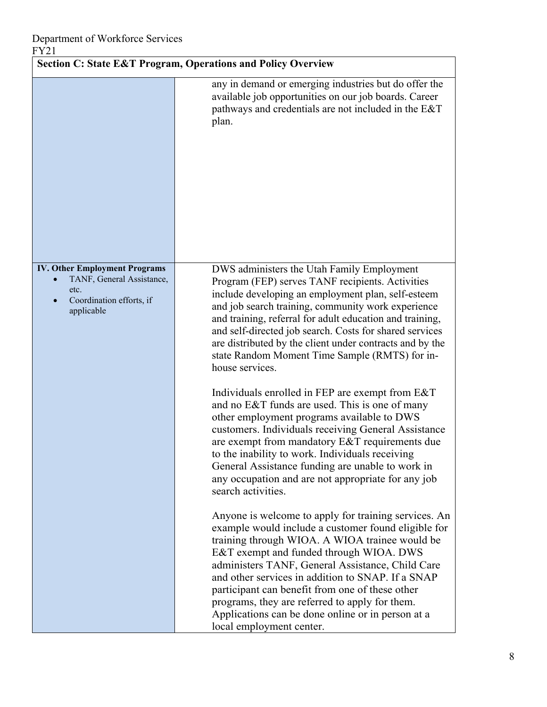|                                                                                                                     | <b>Section C: State E&amp;T Program, Operations and Policy Overview</b>                                                                                                                                                                                                                                                                                                                                                                                                                                                                                                                                                                                                                                                                                                                                                                                                                                                                                                                                                                                                                                                                                                                                                                                                                                                                                                                                                        |
|---------------------------------------------------------------------------------------------------------------------|--------------------------------------------------------------------------------------------------------------------------------------------------------------------------------------------------------------------------------------------------------------------------------------------------------------------------------------------------------------------------------------------------------------------------------------------------------------------------------------------------------------------------------------------------------------------------------------------------------------------------------------------------------------------------------------------------------------------------------------------------------------------------------------------------------------------------------------------------------------------------------------------------------------------------------------------------------------------------------------------------------------------------------------------------------------------------------------------------------------------------------------------------------------------------------------------------------------------------------------------------------------------------------------------------------------------------------------------------------------------------------------------------------------------------------|
|                                                                                                                     | any in demand or emerging industries but do offer the<br>available job opportunities on our job boards. Career<br>pathways and credentials are not included in the E&T<br>plan.                                                                                                                                                                                                                                                                                                                                                                                                                                                                                                                                                                                                                                                                                                                                                                                                                                                                                                                                                                                                                                                                                                                                                                                                                                                |
| <b>IV. Other Employment Programs</b><br>TANF, General Assistance,<br>etc.<br>Coordination efforts, if<br>applicable | DWS administers the Utah Family Employment<br>Program (FEP) serves TANF recipients. Activities<br>include developing an employment plan, self-esteem<br>and job search training, community work experience<br>and training, referral for adult education and training,<br>and self-directed job search. Costs for shared services<br>are distributed by the client under contracts and by the<br>state Random Moment Time Sample (RMTS) for in-<br>house services.<br>Individuals enrolled in FEP are exempt from E&T<br>and no E&T funds are used. This is one of many<br>other employment programs available to DWS<br>customers. Individuals receiving General Assistance<br>are exempt from mandatory $E&T$ requirements due<br>to the inability to work. Individuals receiving<br>General Assistance funding are unable to work in<br>any occupation and are not appropriate for any job<br>search activities.<br>Anyone is welcome to apply for training services. An<br>example would include a customer found eligible for<br>training through WIOA. A WIOA trainee would be<br>E&T exempt and funded through WIOA. DWS<br>administers TANF, General Assistance, Child Care<br>and other services in addition to SNAP. If a SNAP<br>participant can benefit from one of these other<br>programs, they are referred to apply for them.<br>Applications can be done online or in person at a<br>local employment center. |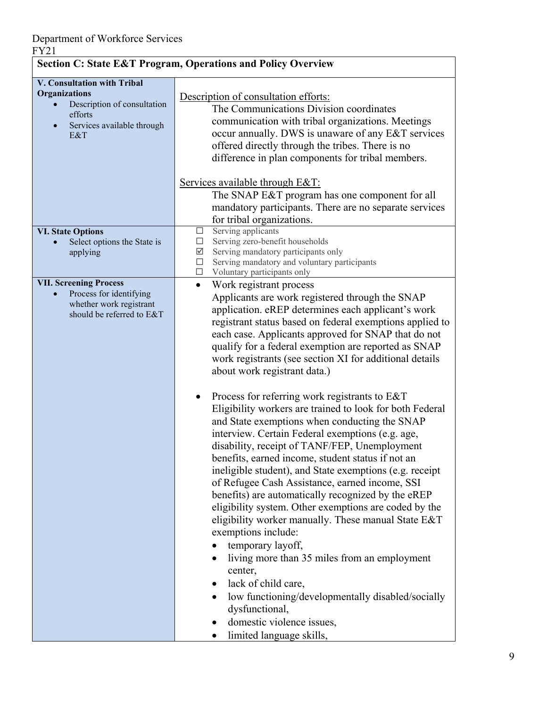|                                                                                                                                    | <b>Section C: State E&amp;T Program, Operations and Policy Overview</b>                                                                                                                                                                                                                                                                                                                                                                                                                                                                                                                                                                                                                                                                                                                                                                                                                                                                                                                                                                                                                                                                                                                                                                                                                                |
|------------------------------------------------------------------------------------------------------------------------------------|--------------------------------------------------------------------------------------------------------------------------------------------------------------------------------------------------------------------------------------------------------------------------------------------------------------------------------------------------------------------------------------------------------------------------------------------------------------------------------------------------------------------------------------------------------------------------------------------------------------------------------------------------------------------------------------------------------------------------------------------------------------------------------------------------------------------------------------------------------------------------------------------------------------------------------------------------------------------------------------------------------------------------------------------------------------------------------------------------------------------------------------------------------------------------------------------------------------------------------------------------------------------------------------------------------|
| V. Consultation with Tribal<br><b>Organizations</b><br>Description of consultation<br>efforts<br>Services available through<br>E&T | Description of consultation efforts:<br>The Communications Division coordinates<br>communication with tribal organizations. Meetings<br>occur annually. DWS is unaware of any E&T services<br>offered directly through the tribes. There is no<br>difference in plan components for tribal members.<br>Services available through E&T:<br>The SNAP E&T program has one component for all<br>mandatory participants. There are no separate services                                                                                                                                                                                                                                                                                                                                                                                                                                                                                                                                                                                                                                                                                                                                                                                                                                                     |
| <b>VI. State Options</b><br>Select options the State is<br>applying                                                                | for tribal organizations.<br>Serving applicants<br>$\Box$<br>Serving zero-benefit households<br>$\Box$<br>$\sqrt{ }$<br>Serving mandatory participants only<br>$\Box$<br>Serving mandatory and voluntary participants<br>$\Box$<br>Voluntary participants only                                                                                                                                                                                                                                                                                                                                                                                                                                                                                                                                                                                                                                                                                                                                                                                                                                                                                                                                                                                                                                         |
| <b>VII. Screening Process</b><br>Process for identifying<br>whether work registrant<br>should be referred to E&T                   | Work registrant process<br>$\bullet$<br>Applicants are work registered through the SNAP<br>application. eREP determines each applicant's work<br>registrant status based on federal exemptions applied to<br>each case. Applicants approved for SNAP that do not<br>qualify for a federal exemption are reported as SNAP<br>work registrants (see section XI for additional details<br>about work registrant data.)<br>Process for referring work registrants to E&T<br>Eligibility workers are trained to look for both Federal<br>and State exemptions when conducting the SNAP<br>interview. Certain Federal exemptions (e.g. age,<br>disability, receipt of TANF/FEP, Unemployment<br>benefits, earned income, student status if not an<br>ineligible student), and State exemptions (e.g. receipt<br>of Refugee Cash Assistance, earned income, SSI<br>benefits) are automatically recognized by the eREP<br>eligibility system. Other exemptions are coded by the<br>eligibility worker manually. These manual State E&T<br>exemptions include:<br>temporary layoff,<br>٠<br>living more than 35 miles from an employment<br>٠<br>center,<br>lack of child care,<br>low functioning/developmentally disabled/socially<br>dysfunctional,<br>domestic violence issues,<br>limited language skills, |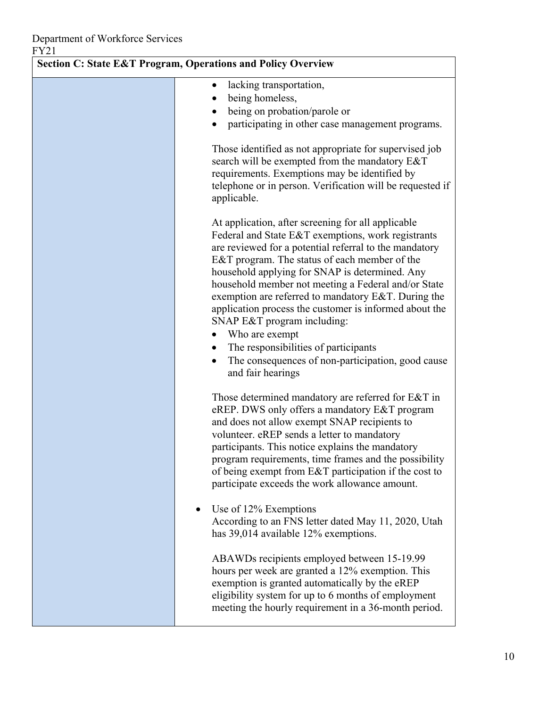| <b>Section C: State E&amp;T Program, Operations and Policy Overview</b> |                                                                                                                                                                                                                                                                                                                                                                                                                                                                                                                                                                                                                                                         |  |
|-------------------------------------------------------------------------|---------------------------------------------------------------------------------------------------------------------------------------------------------------------------------------------------------------------------------------------------------------------------------------------------------------------------------------------------------------------------------------------------------------------------------------------------------------------------------------------------------------------------------------------------------------------------------------------------------------------------------------------------------|--|
|                                                                         | lacking transportation,<br>$\bullet$<br>being homeless,<br>being on probation/parole or<br>participating in other case management programs.                                                                                                                                                                                                                                                                                                                                                                                                                                                                                                             |  |
|                                                                         | Those identified as not appropriate for supervised job<br>search will be exempted from the mandatory E&T<br>requirements. Exemptions may be identified by<br>telephone or in person. Verification will be requested if<br>applicable.                                                                                                                                                                                                                                                                                                                                                                                                                   |  |
|                                                                         | At application, after screening for all applicable<br>Federal and State E&T exemptions, work registrants<br>are reviewed for a potential referral to the mandatory<br>E&T program. The status of each member of the<br>household applying for SNAP is determined. Any<br>household member not meeting a Federal and/or State<br>exemption are referred to mandatory E&T. During the<br>application process the customer is informed about the<br>SNAP E&T program including:<br>Who are exempt<br>$\bullet$<br>The responsibilities of participants<br>$\bullet$<br>The consequences of non-participation, good cause<br>$\bullet$<br>and fair hearings |  |
|                                                                         | Those determined mandatory are referred for E&T in<br>eREP. DWS only offers a mandatory E&T program<br>and does not allow exempt SNAP recipients to<br>volunteer. eREP sends a letter to mandatory<br>participants. This notice explains the mandatory<br>program requirements, time frames and the possibility<br>of being exempt from E&T participation if the cost to<br>participate exceeds the work allowance amount.                                                                                                                                                                                                                              |  |
| ٠                                                                       | Use of 12% Exemptions<br>According to an FNS letter dated May 11, 2020, Utah<br>has 39,014 available 12% exemptions.                                                                                                                                                                                                                                                                                                                                                                                                                                                                                                                                    |  |
|                                                                         | ABAWDs recipients employed between 15-19.99<br>hours per week are granted a 12% exemption. This<br>exemption is granted automatically by the eREP<br>eligibility system for up to 6 months of employment<br>meeting the hourly requirement in a 36-month period.                                                                                                                                                                                                                                                                                                                                                                                        |  |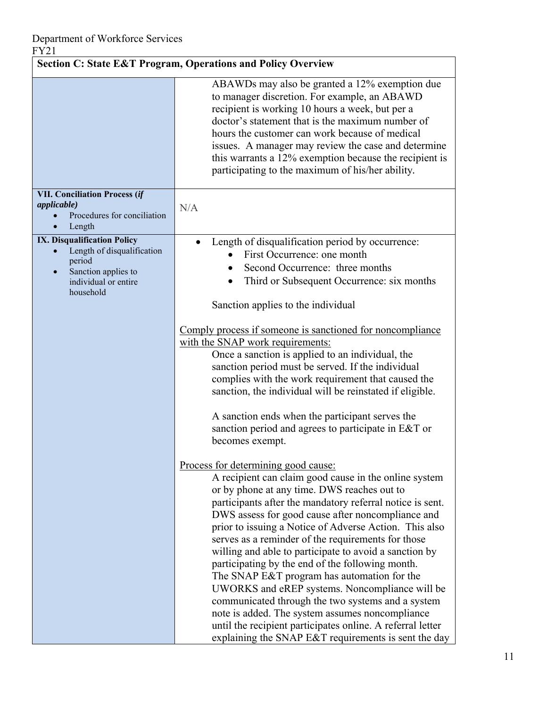| <b>Section C: State E&amp;T Program, Operations and Policy Overview</b>                                                         |                                                                                                                                                                                                                                                                                                                                                                                                                                                                                                                                                                                                                                                                                                                                                                                                                                                                                                                                                                                                                                                                                                                                                                                                                                                                                                                                   |
|---------------------------------------------------------------------------------------------------------------------------------|-----------------------------------------------------------------------------------------------------------------------------------------------------------------------------------------------------------------------------------------------------------------------------------------------------------------------------------------------------------------------------------------------------------------------------------------------------------------------------------------------------------------------------------------------------------------------------------------------------------------------------------------------------------------------------------------------------------------------------------------------------------------------------------------------------------------------------------------------------------------------------------------------------------------------------------------------------------------------------------------------------------------------------------------------------------------------------------------------------------------------------------------------------------------------------------------------------------------------------------------------------------------------------------------------------------------------------------|
|                                                                                                                                 | ABAWDs may also be granted a 12% exemption due<br>to manager discretion. For example, an ABAWD<br>recipient is working 10 hours a week, but per a<br>doctor's statement that is the maximum number of<br>hours the customer can work because of medical<br>issues. A manager may review the case and determine<br>this warrants a 12% exemption because the recipient is<br>participating to the maximum of his/her ability.                                                                                                                                                                                                                                                                                                                                                                                                                                                                                                                                                                                                                                                                                                                                                                                                                                                                                                      |
| <b>VII. Conciliation Process (if</b><br><i>applicable</i> )<br>Procedures for conciliation<br>Length                            | N/A                                                                                                                                                                                                                                                                                                                                                                                                                                                                                                                                                                                                                                                                                                                                                                                                                                                                                                                                                                                                                                                                                                                                                                                                                                                                                                                               |
| IX. Disqualification Policy<br>Length of disqualification<br>period<br>Sanction applies to<br>individual or entire<br>household | Length of disqualification period by occurrence:<br>$\bullet$<br>First Occurrence: one month<br>Second Occurrence: three months<br>Third or Subsequent Occurrence: six months<br>Sanction applies to the individual<br>Comply process if someone is sanctioned for noncompliance<br>with the SNAP work requirements:<br>Once a sanction is applied to an individual, the<br>sanction period must be served. If the individual<br>complies with the work requirement that caused the<br>sanction, the individual will be reinstated if eligible.<br>A sanction ends when the participant serves the<br>sanction period and agrees to participate in E&T or<br>becomes exempt.<br>Process for determining good cause:<br>A recipient can claim good cause in the online system<br>or by phone at any time. DWS reaches out to<br>participants after the mandatory referral notice is sent.<br>DWS assess for good cause after noncompliance and<br>prior to issuing a Notice of Adverse Action. This also<br>serves as a reminder of the requirements for those<br>willing and able to participate to avoid a sanction by<br>participating by the end of the following month.<br>The SNAP E&T program has automation for the<br>UWORKS and eREP systems. Noncompliance will be<br>communicated through the two systems and a system |
|                                                                                                                                 | note is added. The system assumes noncompliance<br>until the recipient participates online. A referral letter<br>explaining the SNAP E&T requirements is sent the day                                                                                                                                                                                                                                                                                                                                                                                                                                                                                                                                                                                                                                                                                                                                                                                                                                                                                                                                                                                                                                                                                                                                                             |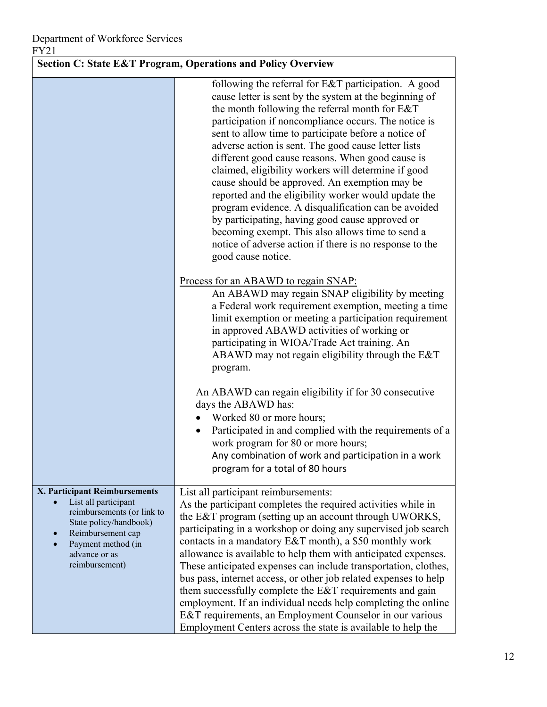| <b>Section C: State E&amp;T Program, Operations and Policy Overview</b>                                                                                                                     |                                                                                                                                                                                                                                                                                                                                                                                                                                                                                                                                                                                                                                                                                                                                                                                                                                                                                                                                                                                                                                                                       |  |
|---------------------------------------------------------------------------------------------------------------------------------------------------------------------------------------------|-----------------------------------------------------------------------------------------------------------------------------------------------------------------------------------------------------------------------------------------------------------------------------------------------------------------------------------------------------------------------------------------------------------------------------------------------------------------------------------------------------------------------------------------------------------------------------------------------------------------------------------------------------------------------------------------------------------------------------------------------------------------------------------------------------------------------------------------------------------------------------------------------------------------------------------------------------------------------------------------------------------------------------------------------------------------------|--|
|                                                                                                                                                                                             | following the referral for E&T participation. A good<br>cause letter is sent by the system at the beginning of<br>the month following the referral month for E&T<br>participation if noncompliance occurs. The notice is<br>sent to allow time to participate before a notice of<br>adverse action is sent. The good cause letter lists<br>different good cause reasons. When good cause is<br>claimed, eligibility workers will determine if good<br>cause should be approved. An exemption may be<br>reported and the eligibility worker would update the<br>program evidence. A disqualification can be avoided<br>by participating, having good cause approved or<br>becoming exempt. This also allows time to send a<br>notice of adverse action if there is no response to the<br>good cause notice.<br>Process for an ABAWD to regain SNAP:<br>An ABAWD may regain SNAP eligibility by meeting<br>a Federal work requirement exemption, meeting a time<br>limit exemption or meeting a participation requirement<br>in approved ABAWD activities of working or |  |
|                                                                                                                                                                                             | participating in WIOA/Trade Act training. An<br>ABAWD may not regain eligibility through the E&T<br>program.<br>An ABAWD can regain eligibility if for 30 consecutive<br>days the ABAWD has:<br>Worked 80 or more hours;<br>Participated in and complied with the requirements of a<br>work program for 80 or more hours;<br>Any combination of work and participation in a work<br>program for a total of 80 hours                                                                                                                                                                                                                                                                                                                                                                                                                                                                                                                                                                                                                                                   |  |
| X. Participant Reimbursements<br>List all participant<br>reimbursements (or link to<br>State policy/handbook)<br>Reimbursement cap<br>Payment method (in<br>advance or as<br>reimbursement) | List all participant reimbursements:<br>As the participant completes the required activities while in<br>the E&T program (setting up an account through UWORKS,<br>participating in a workshop or doing any supervised job search<br>contacts in a mandatory E&T month), a \$50 monthly work<br>allowance is available to help them with anticipated expenses.<br>These anticipated expenses can include transportation, clothes,<br>bus pass, internet access, or other job related expenses to help<br>them successfully complete the E&T requirements and gain<br>employment. If an individual needs help completing the online<br>E&T requirements, an Employment Counselor in our various<br>Employment Centers across the state is available to help the                                                                                                                                                                                                                                                                                                        |  |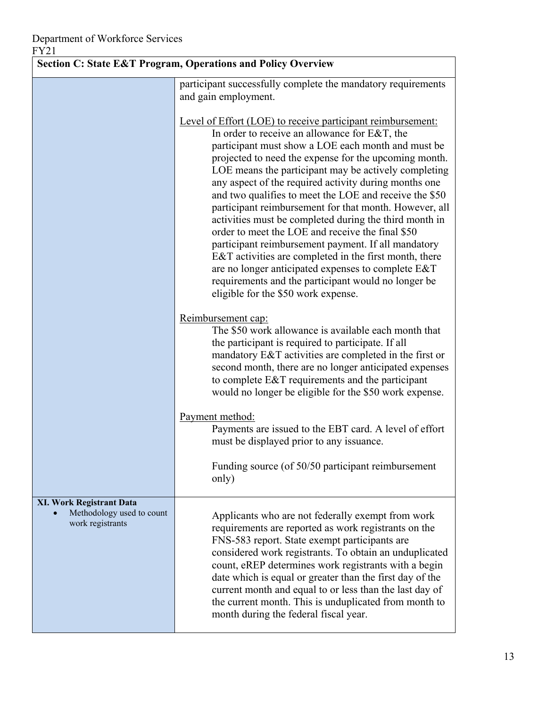| <b>Section C: State E&amp;T Program, Operations and Policy Overview</b>          |                                                                                                                                                                                                                                                                                                                                                                                                                                                                                                                                                                                                                                                                                                                                                                                                                                                     |
|----------------------------------------------------------------------------------|-----------------------------------------------------------------------------------------------------------------------------------------------------------------------------------------------------------------------------------------------------------------------------------------------------------------------------------------------------------------------------------------------------------------------------------------------------------------------------------------------------------------------------------------------------------------------------------------------------------------------------------------------------------------------------------------------------------------------------------------------------------------------------------------------------------------------------------------------------|
|                                                                                  | participant successfully complete the mandatory requirements<br>and gain employment.                                                                                                                                                                                                                                                                                                                                                                                                                                                                                                                                                                                                                                                                                                                                                                |
|                                                                                  | Level of Effort (LOE) to receive participant reimbursement:<br>In order to receive an allowance for E&T, the<br>participant must show a LOE each month and must be<br>projected to need the expense for the upcoming month.<br>LOE means the participant may be actively completing<br>any aspect of the required activity during months one<br>and two qualifies to meet the LOE and receive the \$50<br>participant reimbursement for that month. However, all<br>activities must be completed during the third month in<br>order to meet the LOE and receive the final \$50<br>participant reimbursement payment. If all mandatory<br>E&T activities are completed in the first month, there<br>are no longer anticipated expenses to complete E&T<br>requirements and the participant would no longer be<br>eligible for the \$50 work expense. |
|                                                                                  | Reimbursement cap:<br>The \$50 work allowance is available each month that<br>the participant is required to participate. If all<br>mandatory E&T activities are completed in the first or<br>second month, there are no longer anticipated expenses<br>to complete E&T requirements and the participant<br>would no longer be eligible for the \$50 work expense.                                                                                                                                                                                                                                                                                                                                                                                                                                                                                  |
|                                                                                  | Payment method:<br>Payments are issued to the EBT card. A level of effort<br>must be displayed prior to any issuance.                                                                                                                                                                                                                                                                                                                                                                                                                                                                                                                                                                                                                                                                                                                               |
|                                                                                  | Funding source (of 50/50 participant reimbursement<br>only)                                                                                                                                                                                                                                                                                                                                                                                                                                                                                                                                                                                                                                                                                                                                                                                         |
| <b>XI. Work Registrant Data</b><br>Methodology used to count<br>work registrants | Applicants who are not federally exempt from work<br>requirements are reported as work registrants on the<br>FNS-583 report. State exempt participants are<br>considered work registrants. To obtain an unduplicated<br>count, eREP determines work registrants with a begin<br>date which is equal or greater than the first day of the<br>current month and equal to or less than the last day of<br>the current month. This is unduplicated from month to<br>month during the federal fiscal year.                                                                                                                                                                                                                                                                                                                                               |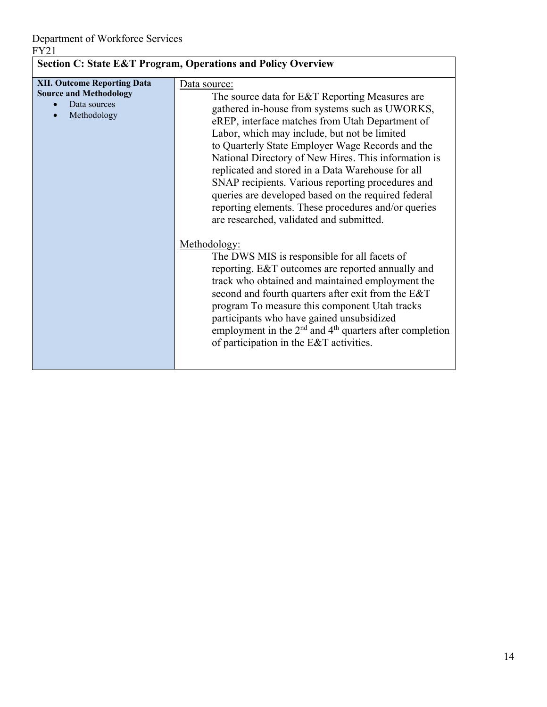| <b>Section C: State E&amp;T Program, Operations and Policy Overview</b>                            |                                                                                                                                                                                                                                                                                                                                                                                                                                                                                                                                                                                                                                                                                                                                                                                                                                                                                                                                                                                                                                            |  |  |  |  |  |
|----------------------------------------------------------------------------------------------------|--------------------------------------------------------------------------------------------------------------------------------------------------------------------------------------------------------------------------------------------------------------------------------------------------------------------------------------------------------------------------------------------------------------------------------------------------------------------------------------------------------------------------------------------------------------------------------------------------------------------------------------------------------------------------------------------------------------------------------------------------------------------------------------------------------------------------------------------------------------------------------------------------------------------------------------------------------------------------------------------------------------------------------------------|--|--|--|--|--|
| <b>XII. Outcome Reporting Data</b><br><b>Source and Methodology</b><br>Data sources<br>Methodology | Data source:<br>The source data for E&T Reporting Measures are<br>gathered in-house from systems such as UWORKS,<br>eREP, interface matches from Utah Department of<br>Labor, which may include, but not be limited<br>to Quarterly State Employer Wage Records and the<br>National Directory of New Hires. This information is<br>replicated and stored in a Data Warehouse for all<br>SNAP recipients. Various reporting procedures and<br>queries are developed based on the required federal<br>reporting elements. These procedures and/or queries<br>are researched, validated and submitted.<br>Methodology:<br>The DWS MIS is responsible for all facets of<br>reporting. E&T outcomes are reported annually and<br>track who obtained and maintained employment the<br>second and fourth quarters after exit from the E&T<br>program To measure this component Utah tracks<br>participants who have gained unsubsidized<br>employment in the $2nd$ and $4th$ quarters after completion<br>of participation in the E&T activities. |  |  |  |  |  |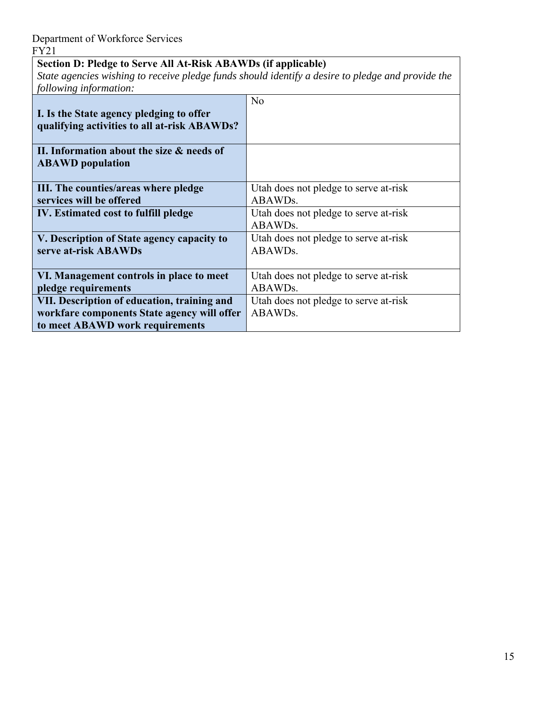## **Section D: Pledge to Serve All At-Risk ABAWDs (if applicable)**

*State agencies wishing to receive pledge funds should identify a desire to pledge and provide the following information:* 

| I. Is the State agency pledging to offer<br>qualifying activities to all at-risk ABAWDs? | N <sub>o</sub>                                   |
|------------------------------------------------------------------------------------------|--------------------------------------------------|
| II. Information about the size & needs of<br><b>ABAWD</b> population                     |                                                  |
| III. The counties/areas where pledge<br>services will be offered                         | Utah does not pledge to serve at-risk<br>ABAWDs. |
| IV. Estimated cost to fulfill pledge                                                     | Utah does not pledge to serve at-risk<br>ABAWDs. |
| V. Description of State agency capacity to<br>serve at-risk ABAWDs                       | Utah does not pledge to serve at-risk<br>ABAWDs. |
| VI. Management controls in place to meet                                                 | Utah does not pledge to serve at-risk            |
| pledge requirements                                                                      | ABAWDs.                                          |
| VII. Description of education, training and                                              | Utah does not pledge to serve at-risk            |
| workfare components State agency will offer                                              | ABAWD <sub>s</sub> .                             |
| to meet ABAWD work requirements                                                          |                                                  |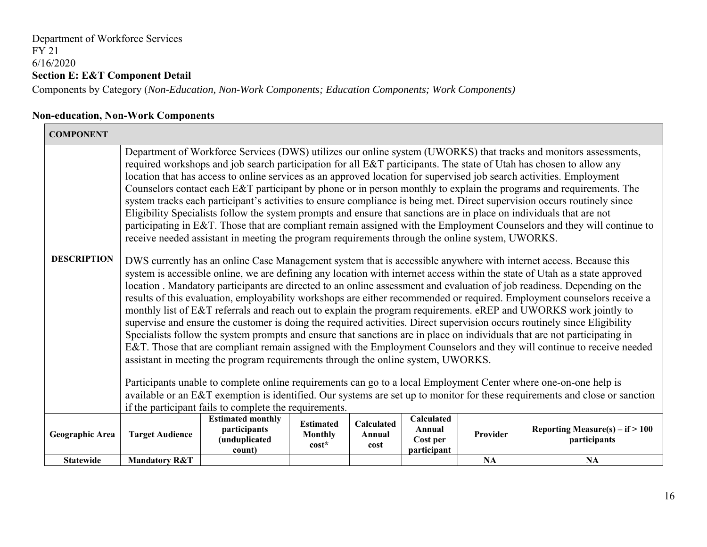#### Department of Workforce Services FY 21 6/16/2020 **Section E: E&T Component Detail**  Components by Category (*Non-Education, Non-Work Components; Education Components; Work Components)*

**Non-education, Non-Work Components** 

| <b>COMPONENT</b>   |                                                                                                                                                                                                                                                                                                                                                                                                                                                                                                                                                                                                                                                                                                                                                                                                                                                                                                                                                                                                                                                                                                                                                                                                                       |                                                                     |                                               |                              |                                                 |           |                                                                                                                             |  |  |  |
|--------------------|-----------------------------------------------------------------------------------------------------------------------------------------------------------------------------------------------------------------------------------------------------------------------------------------------------------------------------------------------------------------------------------------------------------------------------------------------------------------------------------------------------------------------------------------------------------------------------------------------------------------------------------------------------------------------------------------------------------------------------------------------------------------------------------------------------------------------------------------------------------------------------------------------------------------------------------------------------------------------------------------------------------------------------------------------------------------------------------------------------------------------------------------------------------------------------------------------------------------------|---------------------------------------------------------------------|-----------------------------------------------|------------------------------|-------------------------------------------------|-----------|-----------------------------------------------------------------------------------------------------------------------------|--|--|--|
|                    | Department of Workforce Services (DWS) utilizes our online system (UWORKS) that tracks and monitors assessments,<br>required workshops and job search participation for all E&T participants. The state of Utah has chosen to allow any<br>location that has access to online services as an approved location for supervised job search activities. Employment<br>Counselors contact each E&T participant by phone or in person monthly to explain the programs and requirements. The<br>system tracks each participant's activities to ensure compliance is being met. Direct supervision occurs routinely since<br>Eligibility Specialists follow the system prompts and ensure that sanctions are in place on individuals that are not<br>participating in E&T. Those that are compliant remain assigned with the Employment Counselors and they will continue to<br>receive needed assistant in meeting the program requirements through the online system, UWORKS.                                                                                                                                                                                                                                              |                                                                     |                                               |                              |                                                 |           |                                                                                                                             |  |  |  |
| <b>DESCRIPTION</b> | DWS currently has an online Case Management system that is accessible anywhere with internet access. Because this<br>system is accessible online, we are defining any location with internet access within the state of Utah as a state approved<br>location. Mandatory participants are directed to an online assessment and evaluation of job readiness. Depending on the<br>results of this evaluation, employability workshops are either recommended or required. Employment counselors receive a<br>monthly list of E&T referrals and reach out to explain the program requirements. eREP and UWORKS work jointly to<br>supervise and ensure the customer is doing the required activities. Direct supervision occurs routinely since Eligibility<br>Specialists follow the system prompts and ensure that sanctions are in place on individuals that are not participating in<br>E&T. Those that are compliant remain assigned with the Employment Counselors and they will continue to receive needed<br>assistant in meeting the program requirements through the online system, UWORKS.<br>Participants unable to complete online requirements can go to a local Employment Center where one-on-one help is |                                                                     |                                               |                              |                                                 |           |                                                                                                                             |  |  |  |
|                    |                                                                                                                                                                                                                                                                                                                                                                                                                                                                                                                                                                                                                                                                                                                                                                                                                                                                                                                                                                                                                                                                                                                                                                                                                       | if the participant fails to complete the requirements.              |                                               |                              |                                                 |           | available or an E&T exemption is identified. Our systems are set up to monitor for these requirements and close or sanction |  |  |  |
| Geographic Area    | <b>Target Audience</b>                                                                                                                                                                                                                                                                                                                                                                                                                                                                                                                                                                                                                                                                                                                                                                                                                                                                                                                                                                                                                                                                                                                                                                                                | <b>Estimated monthly</b><br>participants<br>(unduplicated<br>count) | <b>Estimated</b><br><b>Monthly</b><br>$cost*$ | Calculated<br>Annual<br>cost | Calculated<br>Annual<br>Cost per<br>participant | Provider  | Reporting Measure(s) – if $> 100$<br>participants                                                                           |  |  |  |
| <b>Statewide</b>   | <b>Mandatory R&amp;T</b>                                                                                                                                                                                                                                                                                                                                                                                                                                                                                                                                                                                                                                                                                                                                                                                                                                                                                                                                                                                                                                                                                                                                                                                              |                                                                     |                                               |                              |                                                 | <b>NA</b> | <b>NA</b>                                                                                                                   |  |  |  |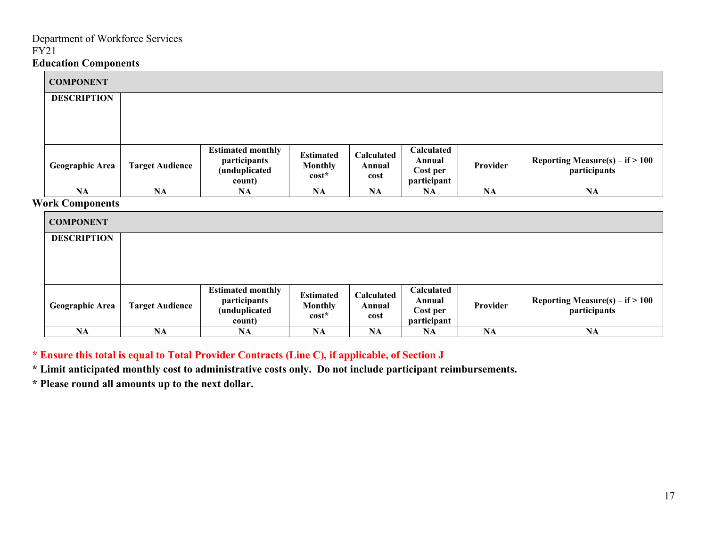| <b>COMPONENT</b>       |                        |                                                                     |                                               |                              |                                                 |           |                                                                           |
|------------------------|------------------------|---------------------------------------------------------------------|-----------------------------------------------|------------------------------|-------------------------------------------------|-----------|---------------------------------------------------------------------------|
| <b>DESCRIPTION</b>     |                        |                                                                     |                                               |                              |                                                 |           |                                                                           |
| <b>Geographic Area</b> | <b>Target Audience</b> | <b>Estimated monthly</b><br>participants<br>(unduplicated<br>count) | <b>Estimated</b><br><b>Monthly</b><br>$cost*$ | Calculated<br>Annual<br>cost | Calculated<br>Annual<br>Cost per<br>participant | Provider  | Reporting Measure(s) – if $> 100$<br>$\overline{\mathbf{p}}$ participants |
| NA                     | NA                     | NA                                                                  | NA                                            | <b>NA</b>                    | <b>NA</b>                                       | <b>NA</b> | <b>NA</b>                                                                 |

#### **Work Components**

| <b>COMPONENT</b>   |                        |                                                                     |                                               |                              |                                                 |          |                                                                            |
|--------------------|------------------------|---------------------------------------------------------------------|-----------------------------------------------|------------------------------|-------------------------------------------------|----------|----------------------------------------------------------------------------|
| <b>DESCRIPTION</b> |                        |                                                                     |                                               |                              |                                                 |          |                                                                            |
| Geographic Area    | <b>Target Audience</b> | <b>Estimated monthly</b><br>participants<br>(unduplicated<br>count) | <b>Estimated</b><br><b>Monthly</b><br>$cost*$ | Calculated<br>Annual<br>cost | Calculated<br>Annual<br>Cost per<br>participant | Provider | Reporting Measure(s) $-$ if $> 100$<br>$\overline{\mathbf{p}}$ articipants |
| NA                 | NA                     | <b>NA</b>                                                           | <b>NA</b>                                     | <b>NA</b>                    | <b>NA</b>                                       | NA       | <b>NA</b>                                                                  |

**\* Ensure this total is equal to Total Provider Contracts (Line C), if applicable, of Section J** 

**\* Limit anticipated monthly cost to administrative costs only. Do not include participant reimbursements.** 

**\* Please round all amounts up to the next dollar.**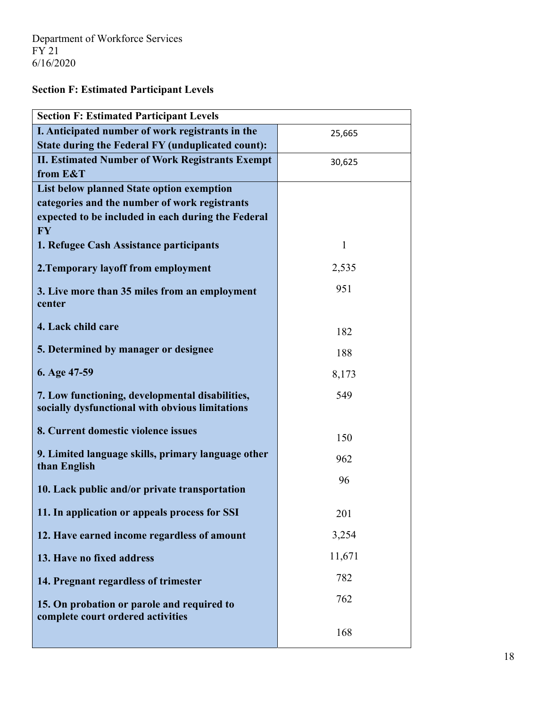**Section F: Estimated Participant Levels** 

| <b>Section F: Estimated Participant Levels</b>                                                     |              |  |  |  |  |  |
|----------------------------------------------------------------------------------------------------|--------------|--|--|--|--|--|
| I. Anticipated number of work registrants in the                                                   | 25,665       |  |  |  |  |  |
| State during the Federal FY (unduplicated count):                                                  |              |  |  |  |  |  |
| <b>II. Estimated Number of Work Registrants Exempt</b>                                             | 30,625       |  |  |  |  |  |
| from E&T                                                                                           |              |  |  |  |  |  |
| List below planned State option exemption                                                          |              |  |  |  |  |  |
| categories and the number of work registrants                                                      |              |  |  |  |  |  |
| expected to be included in each during the Federal<br><b>FY</b>                                    |              |  |  |  |  |  |
| 1. Refugee Cash Assistance participants                                                            | $\mathbf{1}$ |  |  |  |  |  |
| 2. Temporary layoff from employment                                                                | 2,535        |  |  |  |  |  |
| 3. Live more than 35 miles from an employment                                                      | 951          |  |  |  |  |  |
| center                                                                                             |              |  |  |  |  |  |
| 4. Lack child care                                                                                 | 182          |  |  |  |  |  |
| 5. Determined by manager or designee                                                               | 188          |  |  |  |  |  |
| 6. Age 47-59                                                                                       | 8,173        |  |  |  |  |  |
| 7. Low functioning, developmental disabilities,<br>socially dysfunctional with obvious limitations | 549          |  |  |  |  |  |
| 8. Current domestic violence issues                                                                | 150          |  |  |  |  |  |
| 9. Limited language skills, primary language other<br>than English                                 | 962          |  |  |  |  |  |
| 10. Lack public and/or private transportation                                                      | 96           |  |  |  |  |  |
| 11. In application or appeals process for SSI                                                      | 201          |  |  |  |  |  |
| 12. Have earned income regardless of amount                                                        | 3,254        |  |  |  |  |  |
| 13. Have no fixed address                                                                          | 11,671       |  |  |  |  |  |
| 14. Pregnant regardless of trimester                                                               | 782          |  |  |  |  |  |
| 15. On probation or parole and required to<br>complete court ordered activities                    | 762          |  |  |  |  |  |
|                                                                                                    | 168          |  |  |  |  |  |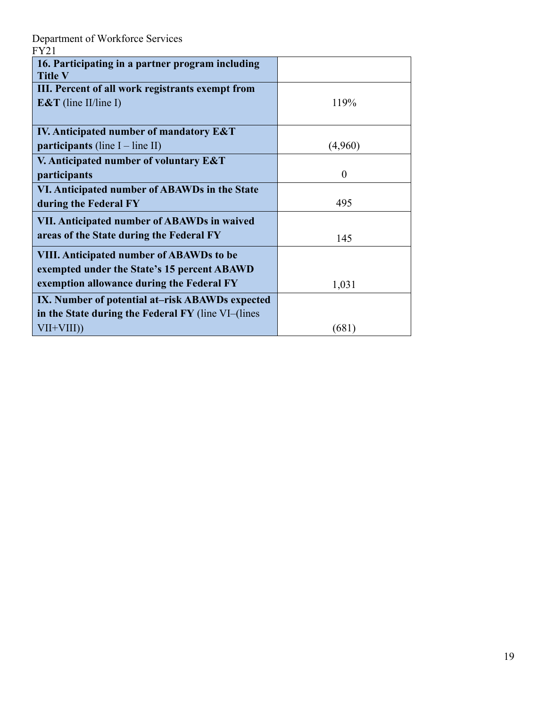| 16. Participating in a partner program including<br><b>Title V</b> |          |
|--------------------------------------------------------------------|----------|
| III. Percent of all work registrants exempt from                   |          |
| E&T (line II/line I)                                               | 119%     |
|                                                                    |          |
| <b>IV.</b> Anticipated number of mandatory E&T                     |          |
| participants (line $I$ – line II)                                  | (4,960)  |
| V. Anticipated number of voluntary E&T                             |          |
| participants                                                       | $\theta$ |
| VI. Anticipated number of ABAWDs in the State                      |          |
| during the Federal FY                                              | 495      |
| VII. Anticipated number of ABAWDs in waived                        |          |
| areas of the State during the Federal FY                           | 145      |
| <b>VIII. Anticipated number of ABAWDs to be</b>                    |          |
| exempted under the State's 15 percent ABAWD                        |          |
| exemption allowance during the Federal FY                          | 1,031    |
| IX. Number of potential at-risk ABAWDs expected                    |          |
| in the State during the Federal FY (line VI–(lines                 |          |
| $VII+VIII)$                                                        | (681)    |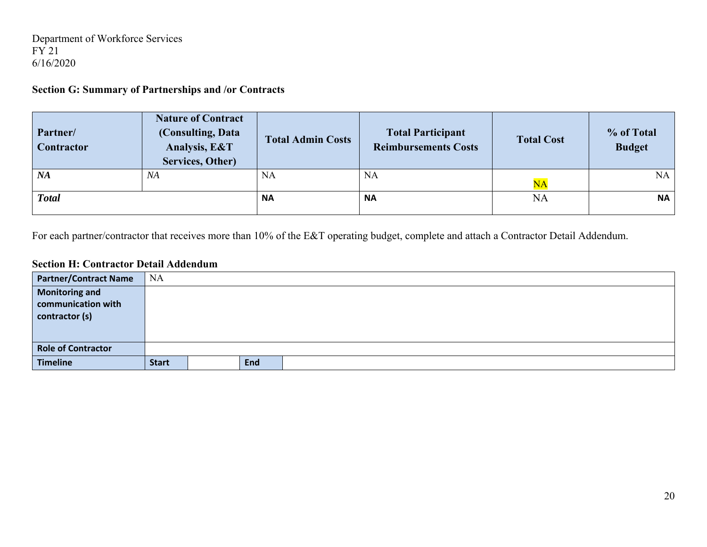Department of Workforce Services FY 21 6/16/2020

#### **Section G: Summary of Partnerships and /or Contracts**

| Partner/<br>Contractor | <b>Nature of Contract</b><br>(Consulting, Data<br>Analysis, E&T<br>Services, Other) | <b>Total Admin Costs</b> | <b>Total Participant</b><br><b>Reimbursements Costs</b> | <b>Total Cost</b>      | % of Total<br><b>Budget</b> |
|------------------------|-------------------------------------------------------------------------------------|--------------------------|---------------------------------------------------------|------------------------|-----------------------------|
| <b>NA</b>              | NA                                                                                  | <b>NA</b>                | <b>NA</b>                                               | $\overline{\text{NA}}$ | NA                          |
| <b>Total</b>           |                                                                                     | <b>NA</b>                | <b>NA</b>                                               | <b>NA</b>              | <b>NA</b>                   |

For each partner/contractor that receives more than 10% of the E&T operating budget, complete and attach a Contractor Detail Addendum.

#### **Section H: Contractor Detail Addendum**

| <b>Partner/Contract Name</b> | <b>NA</b>    |            |  |
|------------------------------|--------------|------------|--|
| <b>Monitoring and</b>        |              |            |  |
| communication with           |              |            |  |
| contractor (s)               |              |            |  |
|                              |              |            |  |
|                              |              |            |  |
| <b>Role of Contractor</b>    |              |            |  |
| <b>Timeline</b>              | <b>Start</b> | <b>End</b> |  |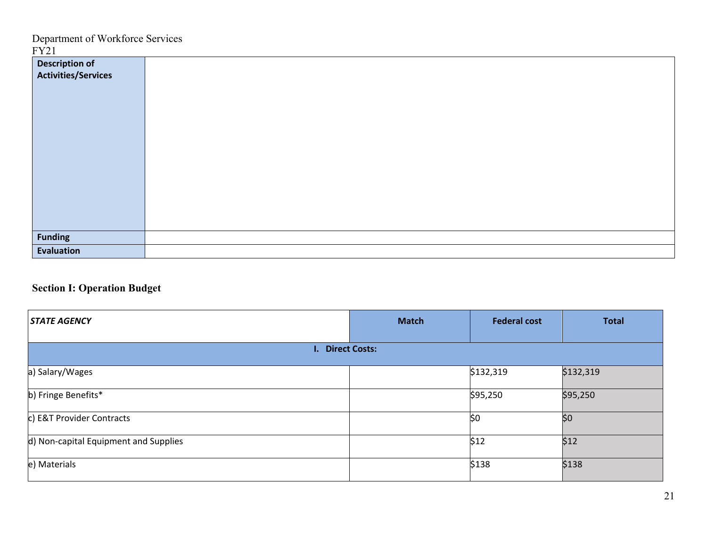| <b>Description of<br/>Activities/Services</b> |  |
|-----------------------------------------------|--|
|                                               |  |
|                                               |  |
|                                               |  |
|                                               |  |
|                                               |  |
|                                               |  |
|                                               |  |
|                                               |  |
|                                               |  |
|                                               |  |
|                                               |  |
|                                               |  |
|                                               |  |
| <b>Funding</b>                                |  |
| Evaluation                                    |  |

## **Section I: Operation Budget**

| <b>STATE AGENCY</b>                   | <b>Match</b> | <b>Federal cost</b> | <b>Total</b> |
|---------------------------------------|--------------|---------------------|--------------|
| I. Direct Costs:                      |              |                     |              |
| a) Salary/Wages                       |              | \$132,319           | \$132,319    |
| b) Fringe Benefits*                   |              | \$95,250            | \$95,250     |
| c) E&T Provider Contracts             |              | \$0                 | \$0          |
| d) Non-capital Equipment and Supplies |              | \$12                | \$12         |
| e) Materials                          |              | \$138               | \$138        |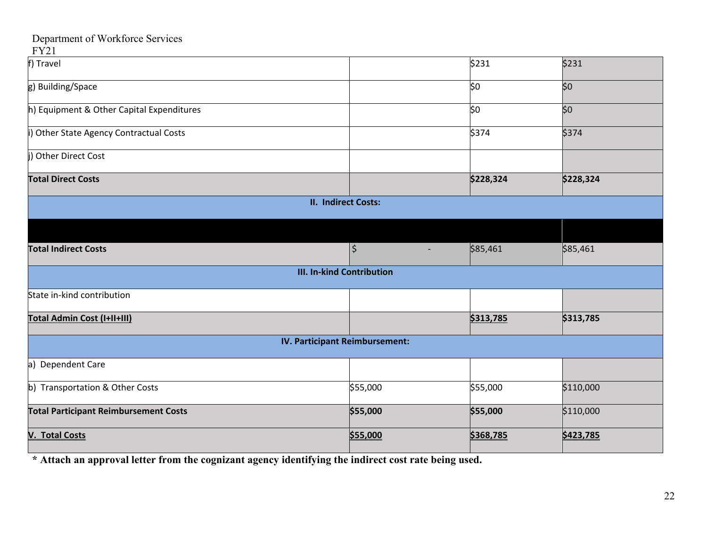#### FY21

| f) Travel                                    |                                  | \$231                                | \$231     |
|----------------------------------------------|----------------------------------|--------------------------------------|-----------|
| g) Building/Space                            |                                  | \$0                                  | \$0       |
| h) Equipment & Other Capital Expenditures    |                                  | \$0                                  | \$0       |
| i) Other State Agency Contractual Costs      |                                  | \$374                                | \$374     |
| <b>Other Direct Cost</b>                     |                                  |                                      |           |
| <b>Total Direct Costs</b>                    |                                  | \$228,324                            | \$228,324 |
|                                              | <b>II. Indirect Costs:</b>       |                                      |           |
|                                              |                                  |                                      |           |
| <b>Total Indirect Costs</b>                  | $\vert \boldsymbol{\zeta} \vert$ | \$85,461<br>$\overline{\phantom{a}}$ | \$85,461  |
|                                              | <b>III. In-kind Contribution</b> |                                      |           |
| State in-kind contribution                   |                                  |                                      |           |
| Total Admin Cost (I+II+III)                  |                                  | \$313,785                            | \$313,785 |
|                                              | IV. Participant Reimbursement:   |                                      |           |
| a) Dependent Care                            |                                  |                                      |           |
| b) Transportation & Other Costs              | \$55,000                         | \$55,000                             | \$110,000 |
| <b>Total Participant Reimbursement Costs</b> | \$55,000                         | \$55,000                             | \$110,000 |
| <b>V. Total Costs</b>                        | \$55,000                         | \$368,785                            | \$423,785 |

**\* Attach an approval letter from the cognizant agency identifying the indirect cost rate being used.**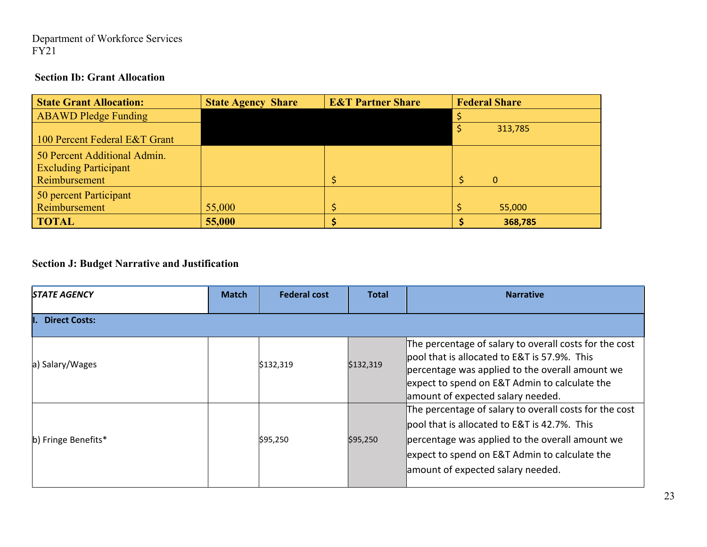#### **Section Ib: Grant Allocation**

| <b>State Grant Allocation:</b> | <b>State Agency Share</b> | <b>E&amp;T Partner Share</b> | <b>Federal Share</b> |
|--------------------------------|---------------------------|------------------------------|----------------------|
| <b>ABAWD Pledge Funding</b>    |                           |                              |                      |
|                                |                           |                              | 313,785              |
| 100 Percent Federal E&T Grant  |                           |                              |                      |
| 50 Percent Additional Admin.   |                           |                              |                      |
| <b>Excluding Participant</b>   |                           |                              |                      |
| Reimbursement                  |                           |                              | $\Omega$             |
| 50 percent Participant         |                           |                              |                      |
| Reimbursement                  | 55,000                    |                              | 55,000               |
| <b>TOTAL</b>                   | 55,000                    |                              | 368,785              |

## **Section J: Budget Narrative and Justification**

| <b>STATE AGENCY</b>  | <b>Match</b> | <b>Federal cost</b> | <b>Total</b> | <b>Narrative</b>                                                                                                                                                                                                                                 |
|----------------------|--------------|---------------------|--------------|--------------------------------------------------------------------------------------------------------------------------------------------------------------------------------------------------------------------------------------------------|
| <b>Direct Costs:</b> |              |                     |              |                                                                                                                                                                                                                                                  |
| a) Salary/Wages      |              | \$132,319           | \$132,319    | The percentage of salary to overall costs for the cost<br>lpool that is allocated to E&T is 57.9%. This<br>percentage was applied to the overall amount we<br>expect to spend on E&T Admin to calculate the<br>amount of expected salary needed. |
| b) Fringe Benefits*  |              | \$95,250            | \$95,250     | The percentage of salary to overall costs for the cost<br>pool that is allocated to E&T is 42.7%. This<br>percentage was applied to the overall amount we<br>expect to spend on E&T Admin to calculate the<br>amount of expected salary needed.  |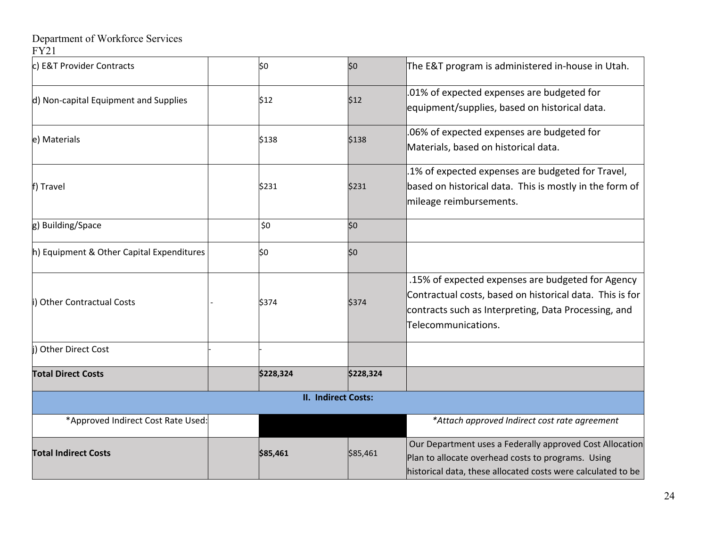| c) E&T Provider Contracts                 | \$0       | \$0                        | The E&T program is administered in-house in Utah.                                                                                                                                            |
|-------------------------------------------|-----------|----------------------------|----------------------------------------------------------------------------------------------------------------------------------------------------------------------------------------------|
| d) Non-capital Equipment and Supplies     | \$12      | \$12                       | .01% of expected expenses are budgeted for<br>equipment/supplies, based on historical data.                                                                                                  |
| e) Materials                              | \$138     | \$138                      | .06% of expected expenses are budgeted for<br>Materials, based on historical data.                                                                                                           |
| f) Travel                                 | \$231     | \$231                      | .1% of expected expenses are budgeted for Travel,<br>based on historical data. This is mostly in the form of<br>mileage reimbursements.                                                      |
| g) Building/Space                         | \$0       | \$0                        |                                                                                                                                                                                              |
| h) Equipment & Other Capital Expenditures | \$0       | \$0                        |                                                                                                                                                                                              |
| i) Other Contractual Costs                | \$374     | \$374                      | .15% of expected expenses are budgeted for Agency<br>Contractual costs, based on historical data. This is for<br>contracts such as Interpreting, Data Processing, and<br>Telecommunications. |
| i) Other Direct Cost                      |           |                            |                                                                                                                                                                                              |
| <b>Total Direct Costs</b>                 | \$228,324 | \$228,324                  |                                                                                                                                                                                              |
|                                           |           | <b>II. Indirect Costs:</b> |                                                                                                                                                                                              |
| *Approved Indirect Cost Rate Used:        |           |                            | *Attach approved Indirect cost rate agreement                                                                                                                                                |
| <b>Total Indirect Costs</b>               | \$85,461  | \$85,461                   | Our Department uses a Federally approved Cost Allocation<br>Plan to allocate overhead costs to programs. Using<br>historical data, these allocated costs were calculated to be               |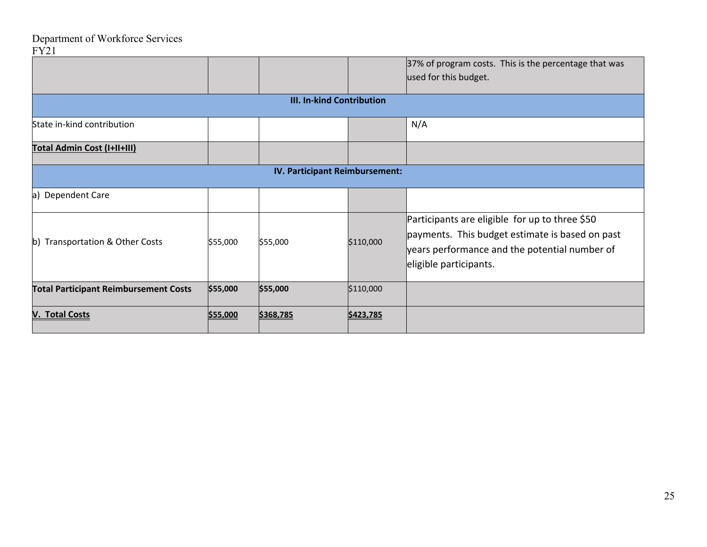|                                              |          |                                  |           | 37% of program costs. This is the percentage that was<br>used for this budget.                                                                                               |
|----------------------------------------------|----------|----------------------------------|-----------|------------------------------------------------------------------------------------------------------------------------------------------------------------------------------|
|                                              |          | <b>III. In-kind Contribution</b> |           |                                                                                                                                                                              |
| State in-kind contribution                   |          |                                  |           | N/A                                                                                                                                                                          |
| Total Admin Cost (I+II+III)                  |          |                                  |           |                                                                                                                                                                              |
|                                              |          | IV. Participant Reimbursement:   |           |                                                                                                                                                                              |
| a) Dependent Care                            |          |                                  |           |                                                                                                                                                                              |
| b) Transportation & Other Costs              | \$55,000 | \$55,000                         | \$110,000 | Participants are eligible for up to three \$50<br>payments. This budget estimate is based on past<br>years performance and the potential number of<br>eligible participants. |
| <b>Total Participant Reimbursement Costs</b> | \$55,000 | \$55,000                         | \$110,000 |                                                                                                                                                                              |
| <b>V. Total Costs</b>                        | \$55,000 | \$368,785                        | \$423,785 |                                                                                                                                                                              |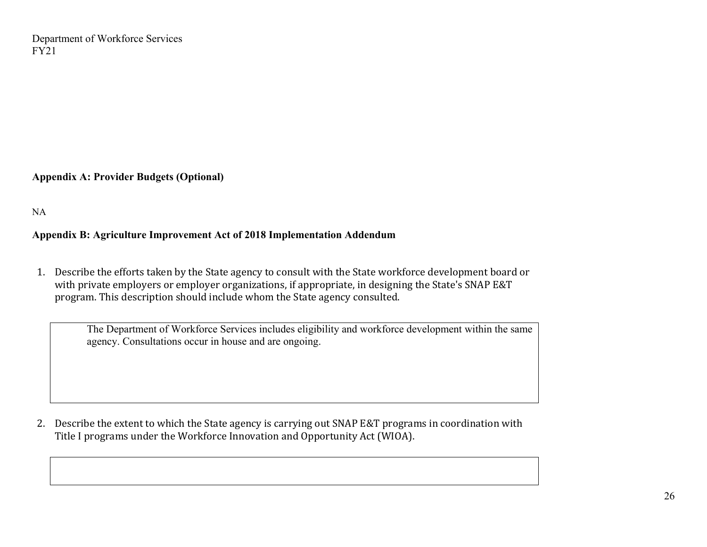**Appendix A: Provider Budgets (Optional)** 

NA

#### **Appendix B: Agriculture Improvement Act of 2018 Implementation Addendum**

1. Describe the efforts taken by the State agency to consult with the State workforce development board or with private employers or employer organizations, if appropriate, in designing the State's SNAP E&T program. This description should include whom the State agency consulted.

The Department of Workforce Services includes eligibility and workforce development within the same agency. Consultations occur in house and are ongoing.

2. Describe the extent to which the State agency is carrying out SNAP E&T programs in coordination with Title I programs under the Workforce Innovation and Opportunity Act (WIOA).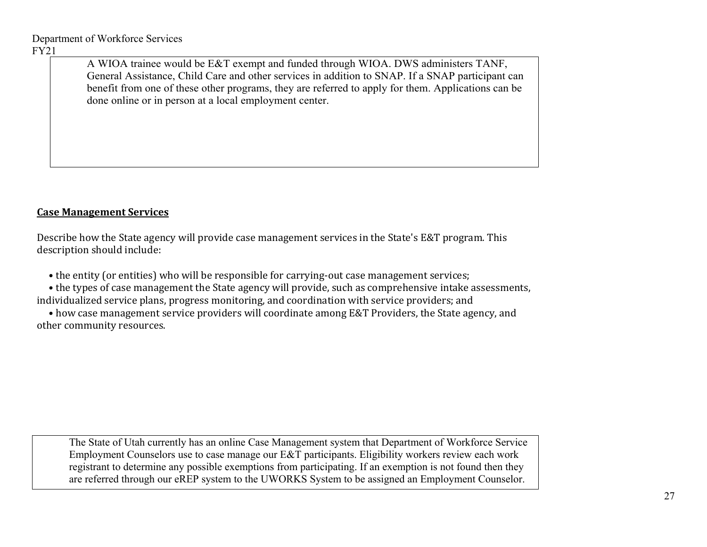A WIOA trainee would be E&T exempt and funded through WIOA. DWS administers TANF, General Assistance, Child Care and other services in addition to SNAP. If a SNAP participant can benefit from one of these other programs, they are referred to apply for them. Applications can be done online or in person at a local employment center.

#### **Case Management Services**

Describe how the State agency will provide case management services in the State's E&T program. This description should include:

• the entity (or entities) who will be responsible for carrying-out case management services;

 • the types of case management the State agency will provide, such as comprehensive intake assessments, individualized service plans, progress monitoring, and coordination with service providers; and

 • how case management service providers will coordinate among E&T Providers, the State agency, and other community resources.

The State of Utah currently has an online Case Management system that Department of Workforce Service Employment Counselors use to case manage our E&T participants. Eligibility workers review each work registrant to determine any possible exemptions from participating. If an exemption is not found then they are referred through our eREP system to the UWORKS System to be assigned an Employment Counselor.